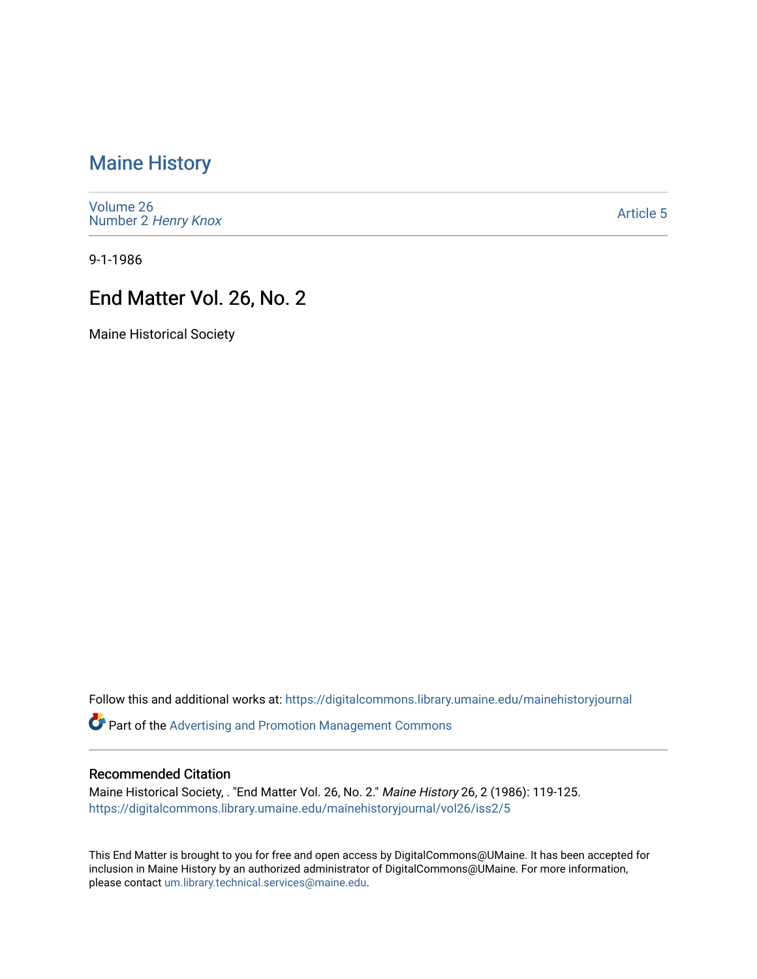# [Maine History](https://digitalcommons.library.umaine.edu/mainehistoryjournal)

[Volume 26](https://digitalcommons.library.umaine.edu/mainehistoryjournal/vol26) Number 2 [Henry Knox](https://digitalcommons.library.umaine.edu/mainehistoryjournal/vol26/iss2) 

[Article 5](https://digitalcommons.library.umaine.edu/mainehistoryjournal/vol26/iss2/5) 

9-1-1986

# End Matter Vol. 26, No. 2

Maine Historical Society

Follow this and additional works at: [https://digitalcommons.library.umaine.edu/mainehistoryjournal](https://digitalcommons.library.umaine.edu/mainehistoryjournal?utm_source=digitalcommons.library.umaine.edu%2Fmainehistoryjournal%2Fvol26%2Fiss2%2F5&utm_medium=PDF&utm_campaign=PDFCoverPages) 

Part of the [Advertising and Promotion Management Commons](http://network.bepress.com/hgg/discipline/626?utm_source=digitalcommons.library.umaine.edu%2Fmainehistoryjournal%2Fvol26%2Fiss2%2F5&utm_medium=PDF&utm_campaign=PDFCoverPages) 

#### Recommended Citation

Maine Historical Society, . "End Matter Vol. 26, No. 2." Maine History 26, 2 (1986): 119-125. [https://digitalcommons.library.umaine.edu/mainehistoryjournal/vol26/iss2/5](https://digitalcommons.library.umaine.edu/mainehistoryjournal/vol26/iss2/5?utm_source=digitalcommons.library.umaine.edu%2Fmainehistoryjournal%2Fvol26%2Fiss2%2F5&utm_medium=PDF&utm_campaign=PDFCoverPages)

This End Matter is brought to you for free and open access by DigitalCommons@UMaine. It has been accepted for inclusion in Maine History by an authorized administrator of DigitalCommons@UMaine. For more information, please contact [um.library.technical.services@maine.edu.](mailto:um.library.technical.services@maine.edu)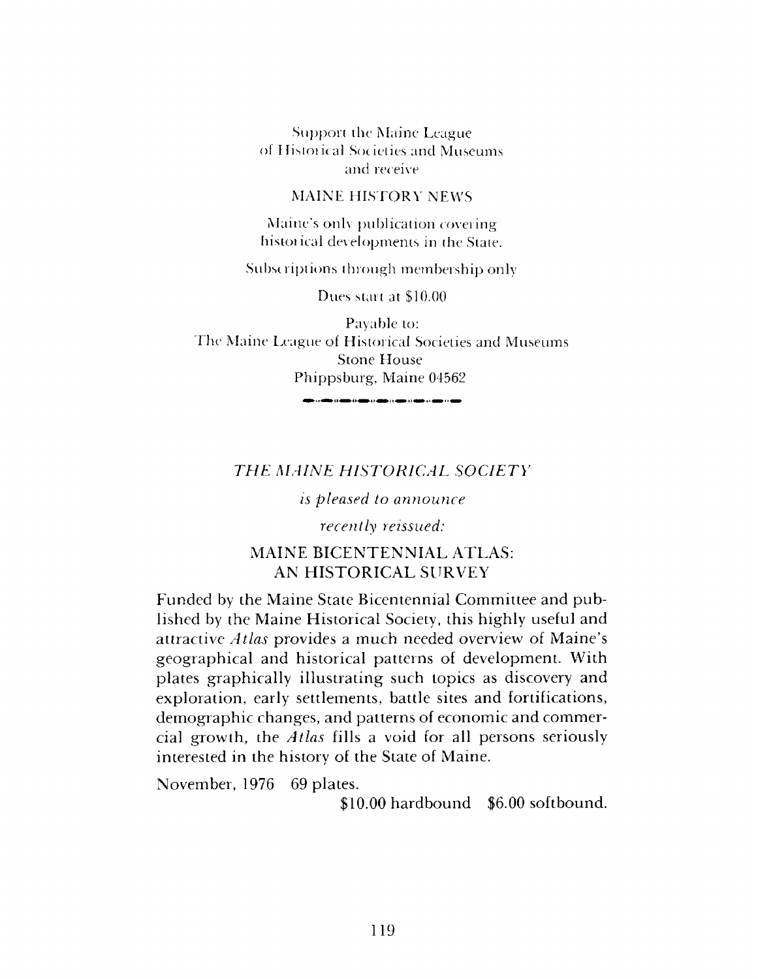Support the Maine League of Ilistoiical Societies and Museums and receive

#### MAINE HISTORY NEWS

Maine's only publication covering histoiical developments in the State.

Subscriptions through membership only

Dues start at \$10.00

Payable to: The Maine League of Historical Societies and Museums Stone House Phippsburg, Maine 04562

.<br>الانتقال الأسباني في الشارك الأسباني المسترك الأسباني المسترك المسترك المسترك المسترك المستركب المستركب المستر

## *THE MAINE HISTORICAL SOCIETY*

*is pleased to announce*

*recently reissued:*

## MAINE BICENTENNIAL ATLAS: AN HISTORICAL SURVEY

Funded by the Maine State Bicentennial Committee and published by the Maine Historical Society, this highly useful and attractive *Atlas* provides a much needed overview of Maine'<sup>s</sup> geographical and historical patterns of development. With plates graphically illustrating such topics as discovery and exploration, early settlements, battle sites and fortifications, demographic changes, and patterns of economic and commercial growth, the *Atlas* fills a void for all persons seriously interested in the history of the State of Maine.

November, 1976 69 plates.

\$10.00 hardbound \$6.00 softbound.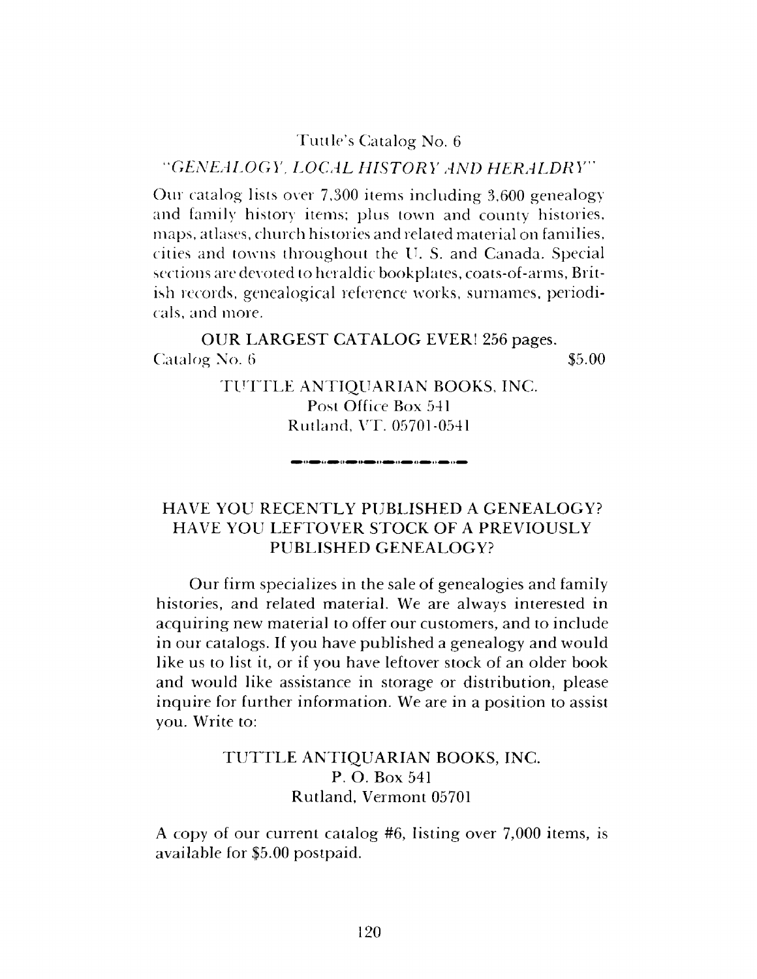### Tuttle'<sup>s</sup> Catalog No. <sup>6</sup>

### *"GENEALOGY, LOCAL HISTORY AND HERALDRY"*

Our catalog lists over 7,300 items including 3,600 genealogy and family history items; plus town and county histories, maps, atlases, church histories and related material on families, cities and towns throughout the IL S. and Canada. Special sections are devoted to heraldic bookplates, coats-of-arms, British records, genealogical reference works, surnames, periodicals, and more.

OUR LARGEST CATALOG EVER! 256 pages.  $\alpha$  Catalog No. 6  $\qquad$   $\qquad$   $\qquad$   $\qquad$   $\qquad$   $\qquad$   $\qquad$   $\qquad$   $\qquad$   $\qquad$   $\qquad$   $\qquad$   $\qquad$   $\qquad$   $\qquad$   $\qquad$   $\qquad$   $\qquad$   $\qquad$   $\qquad$   $\qquad$   $\qquad$   $\qquad$   $\qquad$   $\qquad$   $\qquad$   $\qquad$   $\qquad$   $\qquad$   $\qquad$   $\qquad$   $\qquad$   $\qquad$   $\qquad$ 

> TUTTLE ANTIQUARIAN BOOKS, INC. Post Office Box 541 Rutland, VT. 05701-0541

## HAVE YOU RECENTLY PUBLISHED A GENEALOGY? HAVE YOU LEFTOVER STOCK OF A PREVIOUSLY PUBLISHED GENEALOGY?

Our firm specializes in the sale of genealogies and family histories, and related material. We are always interested in acquiring new material to offer our customers, and to include in our catalogs. If you have published a genealogy and would like us to list it, or if you have leftover stock of an older book and would like assistance in storage or distribution, please inquire for further information. We are in a position to assist you. Write to:

## TUTTLE ANTIQUARIAN BOOKS, INC. P. O. Box 541 Rutland, Vermont 05701

A copy of our current catalog #6, listing over 7,000 items, is available for \$5.00 postpaid.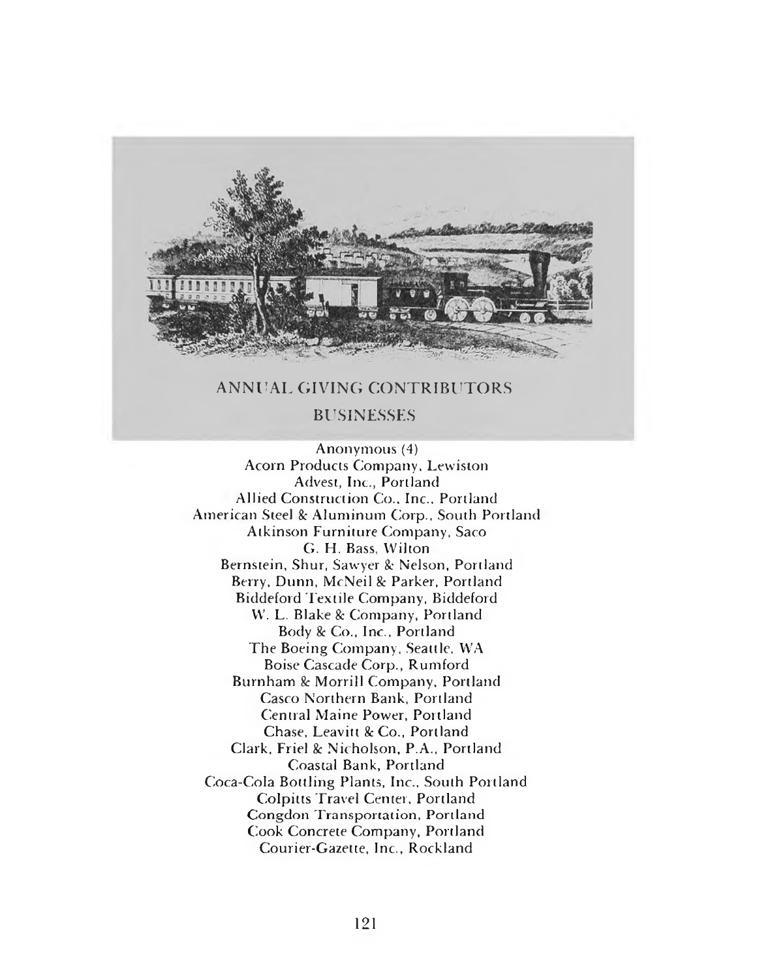

### ANNUAL GIVING CONTRIBUTORS

#### BUSINESSES

Anonymous (4) Acorn Products Company, Lewiston Advest, Inc., Portland Allied Construction Co., Inc., Portland American Steel & Aluminum Corp., South Portland Atkinson Furniture Company, Saco G. FI. Bass, Wilton Bernstein, Shur, Sawyer & Nelson, Portland Berry, Dunn, McNeil & Parker, Portland Biddeford Textile Company, Biddeford W. L. Blake & Company, Portland Body & Co., Inc., Portland The Boeing Company, Seattle, WA Boise Cascade Corp., Rumford Burnham & Morrill Company, Portland Casco Northern Bank, Portland Central Maine Power, Portland Chase, Leavitt & Co., Portland Clark, Friel & Nicholson, P.A., Portland Coastal Bank, Portland Coca-Cola Bottling Plants, Inc., South Portland Colpitts Travel Center, Portland Congdon Transportation, Portland Cook Concrete Company, Portland Courier-Gazette, Inc., Rockland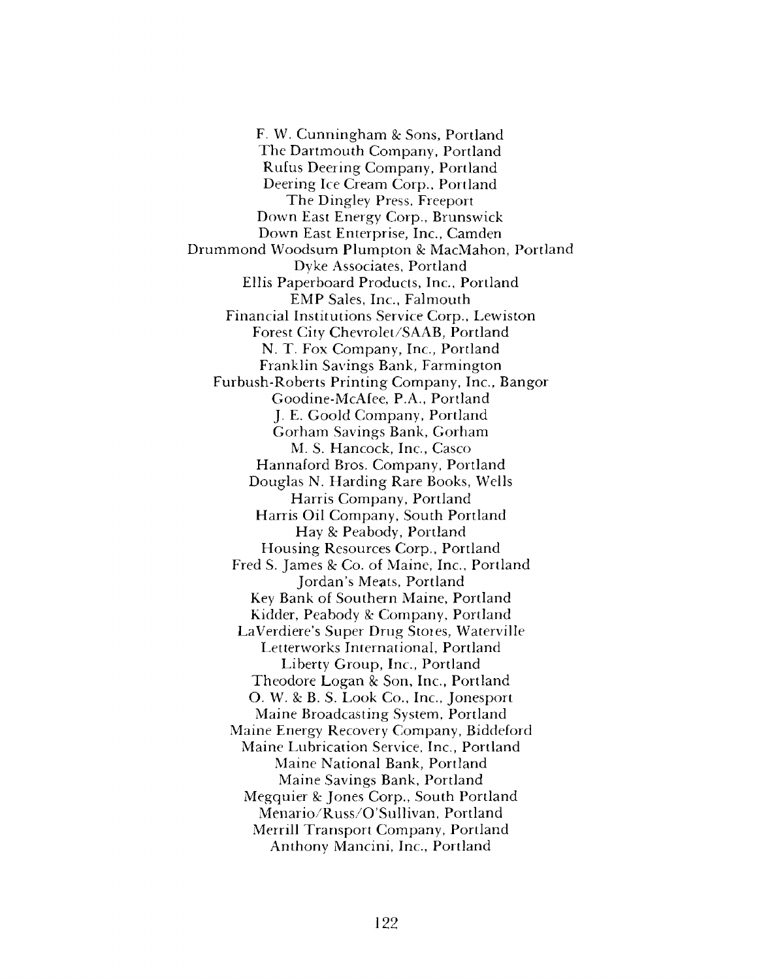F. W. Cunningham & Sons, Portland The Dartmouth Company, Portland Rufus Deering Company, Portland Deering Ice Cream Corp., Portland The Dingley Press, Freeport Down East Energy Corp., Brunswick Down East Enterprise, Inc., Camden Drummond Woodsum Plumpton *8c* MacMahon, Portland Dyke Associates, Portland Ellis Paperboard Products, Inc., Portland EMP Sales, Inc., Falmouth Financial Institutions Service Corp., Lewiston Forest City Chevrolet/SAAB, Portland N. T. Fox Company, Inc., Portland Franklin Savings Bank, Farmington Furbush-Roberts Printing Company, Inc., Bangor Goodine-McAfee, P.A., Portland J. E. Goold Company, Portland Gorham Savings Bank, Gorham M. S. Hancock, Inc., Casco Hannaford Bros. Company, Portland Douglas N. Harding Rare Books, Wells Harris Company, Portland Harris Oil Company, South Portland Hay *8c* Peabody, Portland Housing Resources Corp., Portland Fred S. James *8c Co.* of Maine, Inc., Portland Jordan'<sup>s</sup> Meats, Portland Key Bank of Southern Maine, Portland Kidder, Peabody & Company, Portland LaVerdiere'<sup>s</sup> Super Drug Stores, Waterville Letterworks International, Portland Liberty Group, Inc., Portland Theodore Logan & Son, Inc., Portland O. W. *8c* B. S. Look Co., Inc., Jonesport Maine Broadcasting System, Portland Maine Energy Recovery Company, Biddeford Maine Lubrication Service, Inc., Portland Maine National Bank, Portland Maine Savings Bank, Portland Megquier *8c* Jones Corp., South Portland Menario/Russ/O'Sullivan, Portland Merrill Transport Company, Portland Anthony Mancini, Inc., Portland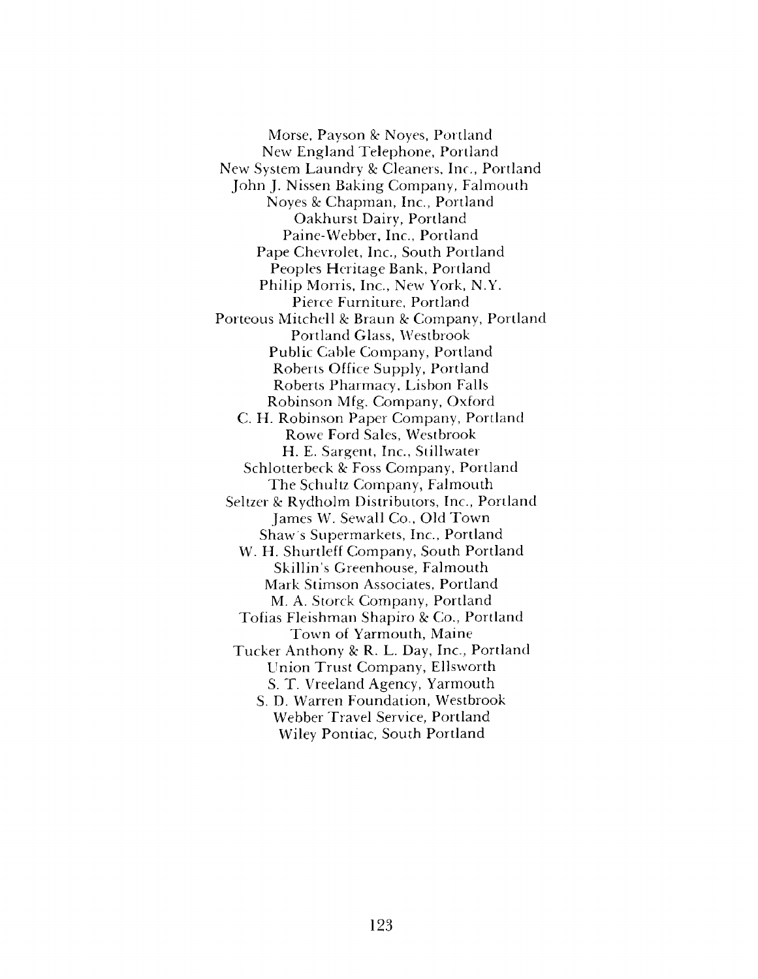Morse, Payson & Noyes, Portland New England Telephone, Portland New System Laundry & Cleaners, Inc., Portland John J. Nissen Baking Company, Falmouth Noyes & Chapman, Inc., Portland Oakhurst Dairy, Portland Paine-Webber, Inc., Portland Pape Chevrolet, Inc., South Portland Peoples Heritage Bank, Portland Philip Morris, Inc., New York, N.Y. Pierce Furniture, Portland Porteous Mitchell & Braun & Company, Portland Portland Glass, Westbrook Public Cable Company, Portland Roberts Office Supply, Portland Roberts Pharmacy, Lisbon Falls Robinson Mfg. Company, Oxford C. H. Robinson Paper Company, Portland Rowe Ford Sales, Westbrook H. E. Sargent, Inc., Stillwater Schlotterbeck *8c* Foss Company, Portland The Schultz Company, Falmouth Seltzer & Rydholm Distributors, Inc., Portland James W. Sewall Co., Old Town Shaw's Supermarkets, Inc., Portland W. H. Shurtleff Company, South Portland Skillin'<sup>s</sup> Greenhouse, Falmouth Mark Stimson Associates, Portland M. A. Storck Company, Portland Tofias Fleishman Shapiro *8c Co.,* Portland Town of Yarmouth, Maine Tucker Anthony *8c* R. L. Day, Inc., Portland Union Trust Company, Ellsworth S. T. Vreeland Agency, Yarmouth S. D. Warren Foundation, Westbrook Webber Travel Service, Portland Wiley Pontiac, South Portland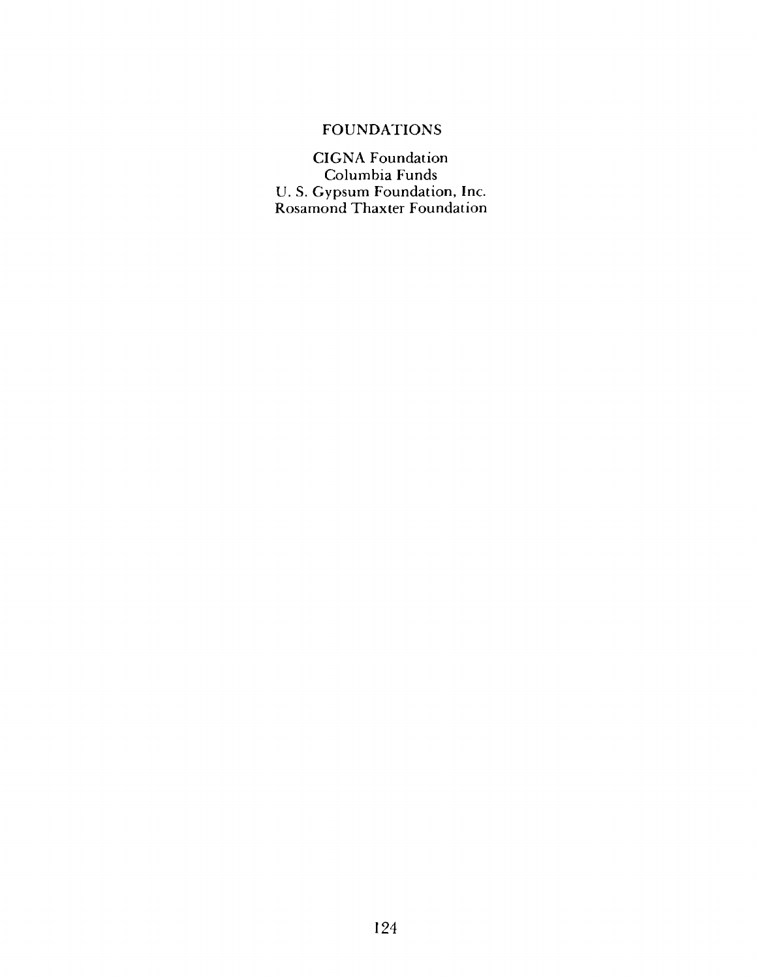## FOUNDATIONS

CIGNA Foundation Columbia Funds U. S. Gypsum Foundation, Inc. Rosamond Thaxter Foundation